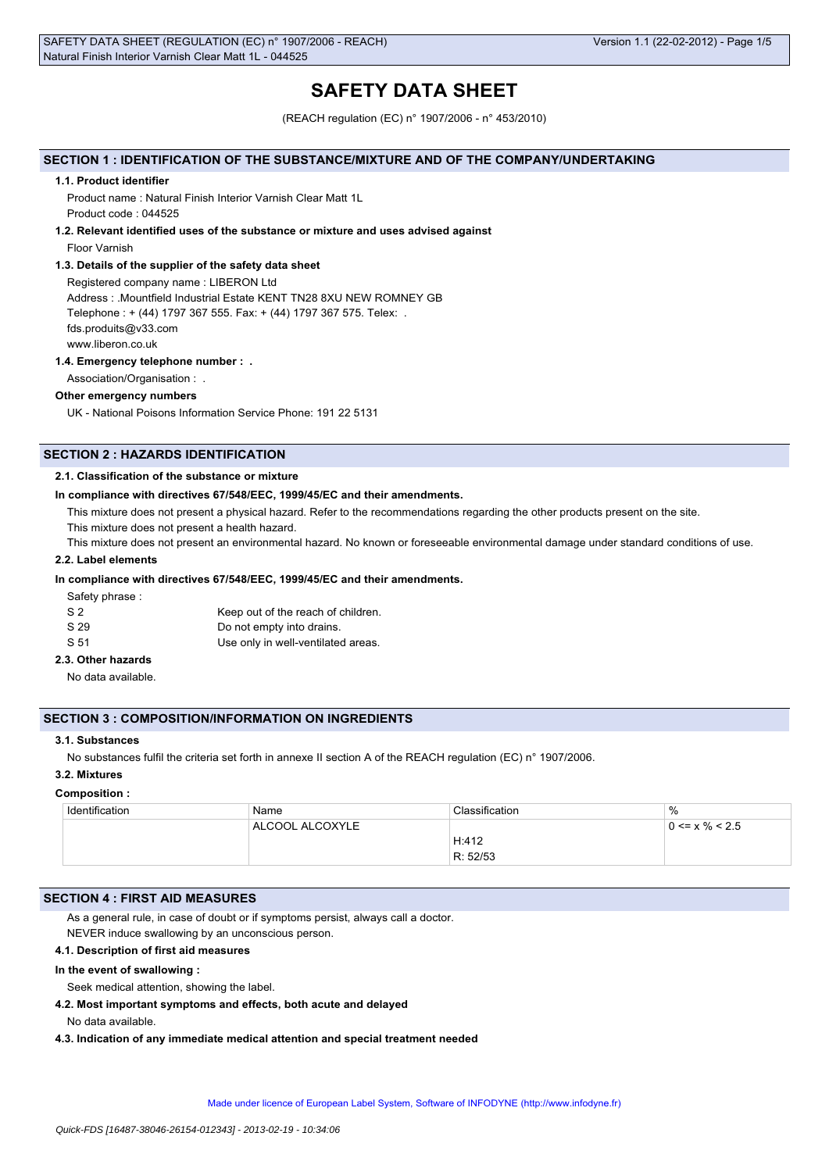# **SAFETY DATA SHEET**

(REACH regulation (EC) n° 1907/2006 - n° 453/2010)

## **SECTION 1 : IDENTIFICATION OF THE SUBSTANCE/MIXTURE AND OF THE COMPANY/UNDERTAKING**

#### **1.1. Product identifier**

Product name : Natural Finish Interior Varnish Clear Matt 1L Product code : 044525

**1.2. Relevant identified uses of the substance or mixture and uses advised against**

Floor Varnish

### **1.3. Details of the supplier of the safety data sheet**

Registered company name : LIBERON Ltd Address : .Mountfield Industrial Estate KENT TN28 8XU NEW ROMNEY GB Telephone : + (44) 1797 367 555. Fax: + (44) 1797 367 575. Telex: . fds.produits@v33.com www.liberon.co.uk

#### **1.4. Emergency telephone number : .**

Association/Organisation : .

#### **Other emergency numbers**

UK - National Poisons Information Service Phone: 191 22 5131

## **SECTION 2 : HAZARDS IDENTIFICATION**

#### **2.1. Classification of the substance or mixture**

#### **In compliance with directives 67/548/EEC, 1999/45/EC and their amendments.**

This mixture does not present a physical hazard. Refer to the recommendations regarding the other products present on the site.

This mixture does not present a health hazard.

This mixture does not present an environmental hazard. No known or foreseeable environmental damage under standard conditions of use.

### **2.2. Label elements**

### **In compliance with directives 67/548/EEC, 1999/45/EC and their amendments.**

Safety phrase :

| S <sub>2</sub> | Keep out of the reach of children. |
|----------------|------------------------------------|
| S 29           | Do not empty into drains.          |
| S 51           | Use only in well-ventilated areas. |

## **2.3. Other hazards**

No data available.

#### **SECTION 3 : COMPOSITION/INFORMATION ON INGREDIENTS**

## **3.1. Substances**

No substances fulfil the criteria set forth in annexe II section A of the REACH regulation (EC) n° 1907/2006.

## **3.2. Mixtures**

#### **Composition :**

| Identification | Name            | Classification | $\%$                 |
|----------------|-----------------|----------------|----------------------|
|                | ALCOOL ALCOXYLE |                | $0 \le x \% \le 2.5$ |
|                |                 | H:412          |                      |
|                |                 | R: 52/53       |                      |

### **SECTION 4 : FIRST AID MEASURES**

As a general rule, in case of doubt or if symptoms persist, always call a doctor. NEVER induce swallowing by an unconscious person.

### **4.1. Description of first aid measures**

### **In the event of swallowing :**

Seek medical attention, showing the label.

**4.2. Most important symptoms and effects, both acute and delayed**

No data available.

**4.3. Indication of any immediate medical attention and special treatment needed**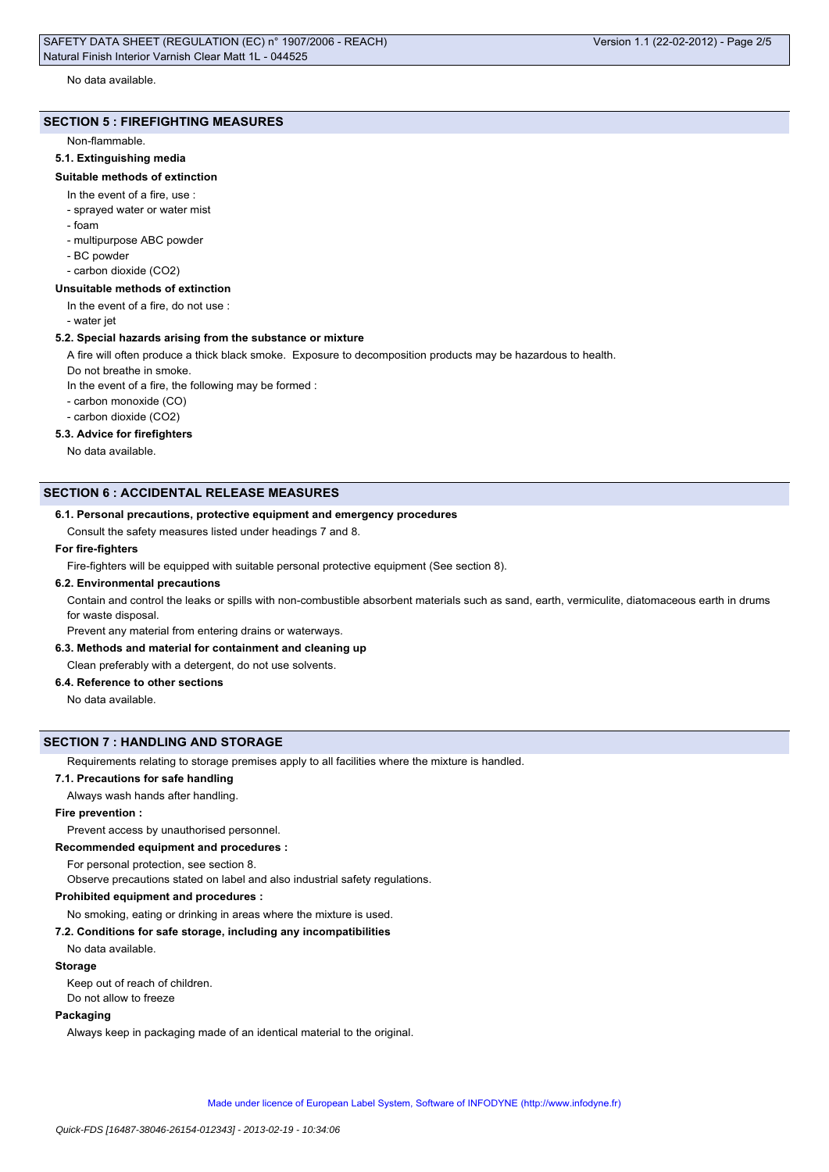#### **SECTION 5 : FIREFIGHTING MEASURES**

#### Non-flammable.

#### **5.1. Extinguishing media**

#### **Suitable methods of extinction**

- In the event of a fire, use :
- sprayed water or water mist
- foam
- multipurpose ABC powder
- BC powder
- carbon dioxide (CO2)

#### **Unsuitable methods of extinction**

In the event of a fire, do not use :

- water jet

#### **5.2. Special hazards arising from the substance or mixture**

A fire will often produce a thick black smoke. Exposure to decomposition products may be hazardous to health.

Do not breathe in smoke.

In the event of a fire, the following may be formed :

- carbon monoxide (CO)
- carbon dioxide (CO2)

## **5.3. Advice for firefighters**

No data available.

## **SECTION 6 : ACCIDENTAL RELEASE MEASURES**

#### **6.1. Personal precautions, protective equipment and emergency procedures**

Consult the safety measures listed under headings 7 and 8.

## **For fire-fighters**

Fire-fighters will be equipped with suitable personal protective equipment (See section 8).

#### **6.2. Environmental precautions**

Contain and control the leaks or spills with non-combustible absorbent materials such as sand, earth, vermiculite, diatomaceous earth in drums for waste disposal.

Prevent any material from entering drains or waterways.

## **6.3. Methods and material for containment and cleaning up**

Clean preferably with a detergent, do not use solvents.

## **6.4. Reference to other sections**

No data available.

### **SECTION 7 : HANDLING AND STORAGE**

Requirements relating to storage premises apply to all facilities where the mixture is handled.

**7.1. Precautions for safe handling**

Always wash hands after handling.

## **Fire prevention :**

Prevent access by unauthorised personnel.

**Recommended equipment and procedures :**

For personal protection, see section 8.

Observe precautions stated on label and also industrial safety regulations.

#### **Prohibited equipment and procedures :**

No smoking, eating or drinking in areas where the mixture is used.

#### **7.2. Conditions for safe storage, including any incompatibilities**

### No data available.

## **Storage**

Keep out of reach of children. Do not allow to freeze

## **Packaging**

Always keep in packaging made of an identical material to the original.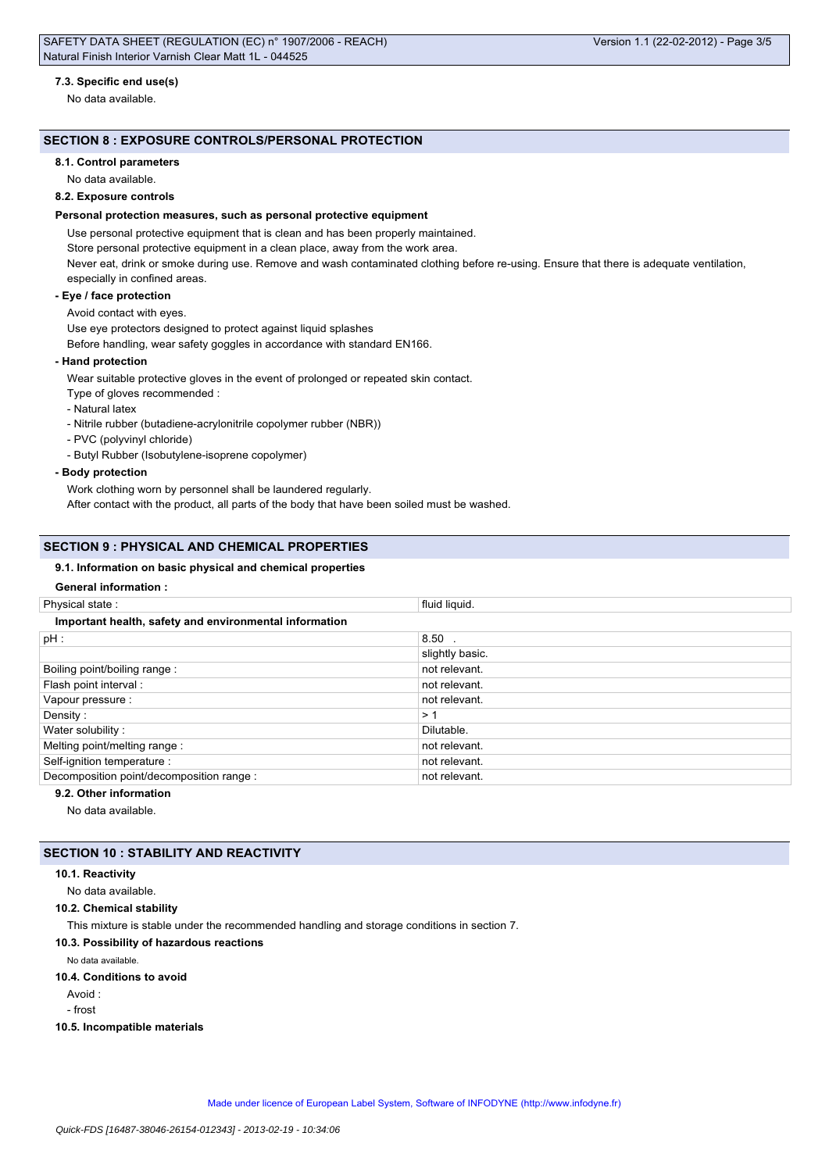No data available.

## **SECTION 8 : EXPOSURE CONTROLS/PERSONAL PROTECTION**

### **8.1. Control parameters**

No data available.

## **8.2. Exposure controls**

### **Personal protection measures, such as personal protective equipment**

Use personal protective equipment that is clean and has been properly maintained.

Store personal protective equipment in a clean place, away from the work area.

Never eat, drink or smoke during use. Remove and wash contaminated clothing before re-using. Ensure that there is adequate ventilation, especially in confined areas.

#### **- Eye / face protection**

## Avoid contact with eyes.

Use eye protectors designed to protect against liquid splashes

Before handling, wear safety goggles in accordance with standard EN166.

### **- Hand protection**

Wear suitable protective gloves in the event of prolonged or repeated skin contact.

- Type of gloves recommended :
- Natural latex
- Nitrile rubber (butadiene-acrylonitrile copolymer rubber (NBR))
- PVC (polyvinyl chloride)
- Butyl Rubber (Isobutylene-isoprene copolymer)
- **Body protection**

Work clothing worn by personnel shall be laundered regularly.

After contact with the product, all parts of the body that have been soiled must be washed.

### **SECTION 9 : PHYSICAL AND CHEMICAL PROPERTIES**

### **9.1. Information on basic physical and chemical properties**

## **General information :**

| Physical state:                                        | fluid liquid.   |  |
|--------------------------------------------------------|-----------------|--|
| Important health, safety and environmental information |                 |  |
| $pH$ :                                                 | $8.50$ .        |  |
|                                                        | slightly basic. |  |
| Boiling point/boiling range:                           | not relevant.   |  |
| Flash point interval :                                 | not relevant.   |  |
| Vapour pressure :                                      | not relevant.   |  |
| Density:                                               | >1              |  |
| Water solubility:                                      | Dilutable.      |  |
| Melting point/melting range:                           | not relevant.   |  |
| Self-ignition temperature :                            | not relevant.   |  |
| Decomposition point/decomposition range :              | not relevant.   |  |
|                                                        |                 |  |

## **9.2. Other information**

No data available.

## **SECTION 10 : STABILITY AND REACTIVITY**

### **10.1. Reactivity**

No data available.

**10.2. Chemical stability**

This mixture is stable under the recommended handling and storage conditions in section 7.

## **10.3. Possibility of hazardous reactions**

No data available.

#### **10.4. Conditions to avoid**

Avoid :

- frost

**10.5. Incompatible materials**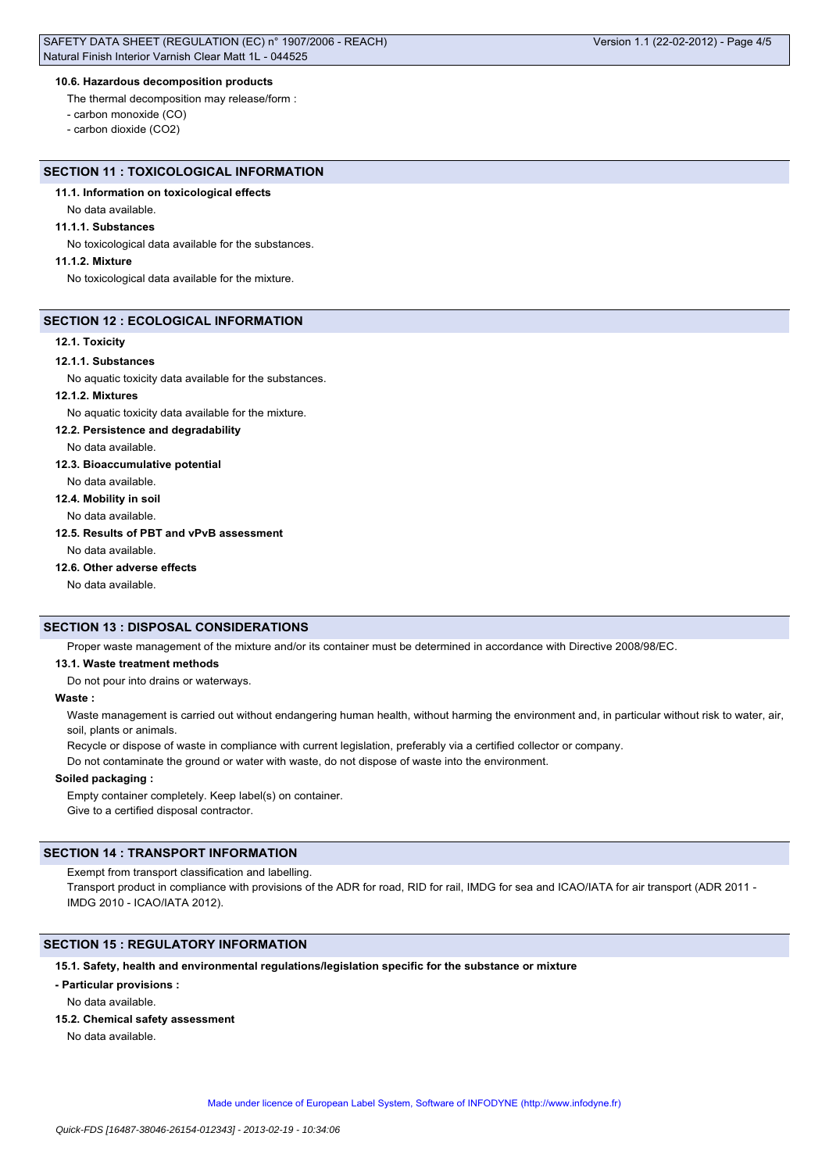## **10.6. Hazardous decomposition products**

The thermal decomposition may release/form :

- carbon monoxide (CO)

- carbon dioxide (CO2)

Version 1.1 (22-02-2012) - Page 4/5

## **SECTION 11 : TOXICOLOGICAL INFORMATION**

## **11.1. Information on toxicological effects**

No data available.

#### **11.1.1. Substances**

No toxicological data available for the substances.

### **11.1.2. Mixture**

No toxicological data available for the mixture.

#### **SECTION 12 : ECOLOGICAL INFORMATION**

#### **12.1. Toxicity**

#### **12.1.1. Substances**

No aquatic toxicity data available for the substances.

### **12.1.2. Mixtures**

No aquatic toxicity data available for the mixture.

#### **12.2. Persistence and degradability**

No data available.

### **12.3. Bioaccumulative potential**

No data available.

**12.4. Mobility in soil**

No data available.

## **12.5. Results of PBT and vPvB assessment**

No data available.

### **12.6. Other adverse effects**

No data available.

## **SECTION 13 : DISPOSAL CONSIDERATIONS**

Proper waste management of the mixture and/or its container must be determined in accordance with Directive 2008/98/EC.

#### **13.1. Waste treatment methods**

Do not pour into drains or waterways.

### **Waste :**

Waste management is carried out without endangering human health, without harming the environment and, in particular without risk to water, air, soil, plants or animals.

Recycle or dispose of waste in compliance with current legislation, preferably via a certified collector or company.

Do not contaminate the ground or water with waste, do not dispose of waste into the environment.

#### **Soiled packaging :**

Empty container completely. Keep label(s) on container. Give to a certified disposal contractor.

### **SECTION 14 : TRANSPORT INFORMATION**

Exempt from transport classification and labelling.

Transport product in compliance with provisions of the ADR for road, RID for rail, IMDG for sea and ICAO/IATA for air transport (ADR 2011 -IMDG 2010 - ICAO/IATA 2012).

### **SECTION 15 : REGULATORY INFORMATION**

## **15.1. Safety, health and environmental regulations/legislation specific for the substance or mixture**

### **- Particular provisions :**

No data available.

**15.2. Chemical safety assessment**

No data available.